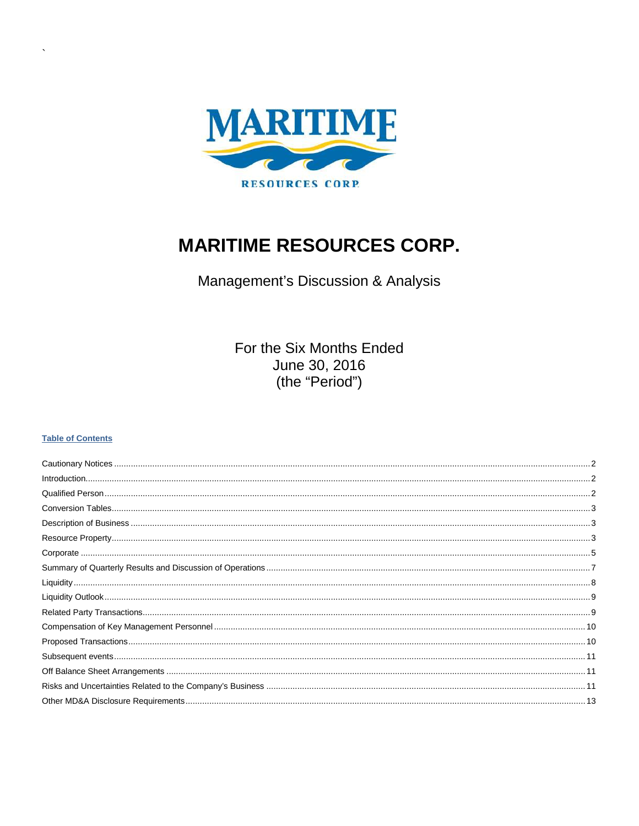

# **MARITIME RESOURCES CORP.**

Management's Discussion & Analysis

For the Six Months Ended June 30, 2016 (the "Period")

#### **Table of Contents**

| $\textbf{Corporate} \textcolor{red}{\dots} \textcolor{red}{\dots} \textcolor{red}{\dots} \textcolor{red}{\dots} \textcolor{red}{\dots} \textcolor{red}{\dots} \textcolor{red}{\dots} \textcolor{red}{\dots} \textcolor{red}{\dots} \textcolor{red}{\dots} \textcolor{red}{\dots} \textcolor{red}{\dots} \textcolor{red}{\dots} \textcolor{red}{\dots} \textcolor{red}{\dots} \textcolor{red}{\dots} \textcolor{red}{\dots} \textcolor{red}{\dots} \textcolor{red}{\dots} \textcolor{red}{\dots} \textcolor{red}{\dots} \textcolor{red}{\dots} \textcolor{red}{\dots} \textcolor{red$ |  |
|--------------------------------------------------------------------------------------------------------------------------------------------------------------------------------------------------------------------------------------------------------------------------------------------------------------------------------------------------------------------------------------------------------------------------------------------------------------------------------------------------------------------------------------------------------------------------------------|--|
|                                                                                                                                                                                                                                                                                                                                                                                                                                                                                                                                                                                      |  |
|                                                                                                                                                                                                                                                                                                                                                                                                                                                                                                                                                                                      |  |
|                                                                                                                                                                                                                                                                                                                                                                                                                                                                                                                                                                                      |  |
|                                                                                                                                                                                                                                                                                                                                                                                                                                                                                                                                                                                      |  |
|                                                                                                                                                                                                                                                                                                                                                                                                                                                                                                                                                                                      |  |
|                                                                                                                                                                                                                                                                                                                                                                                                                                                                                                                                                                                      |  |
|                                                                                                                                                                                                                                                                                                                                                                                                                                                                                                                                                                                      |  |
|                                                                                                                                                                                                                                                                                                                                                                                                                                                                                                                                                                                      |  |
|                                                                                                                                                                                                                                                                                                                                                                                                                                                                                                                                                                                      |  |
|                                                                                                                                                                                                                                                                                                                                                                                                                                                                                                                                                                                      |  |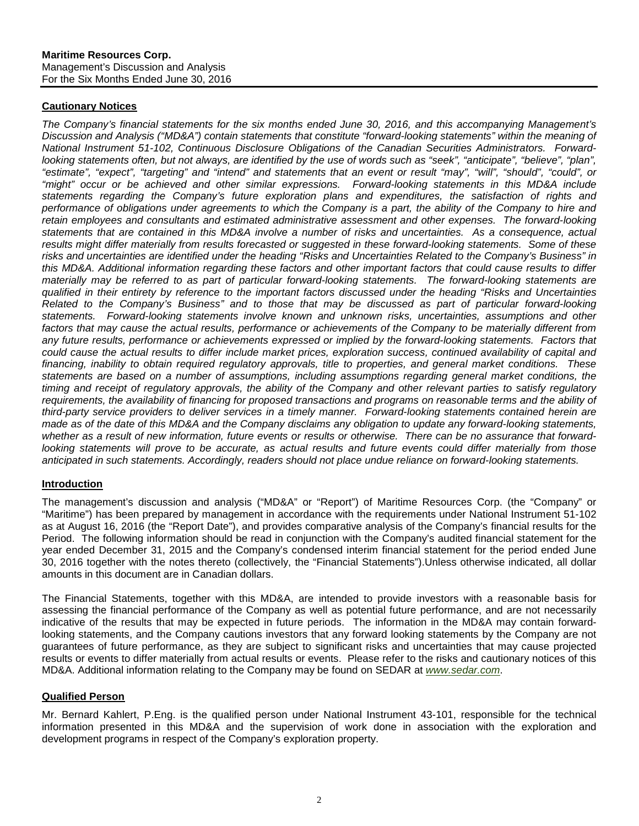## <span id="page-1-0"></span>**Cautionary Notices**

*The Company's financial statements for the six months ended June 30, 2016, and this accompanying Management's Discussion and Analysis ("MD&A") contain statements that constitute "forward-looking statements" within the meaning of National Instrument 51-102, Continuous Disclosure Obligations of the Canadian Securities Administrators. Forwardlooking statements often, but not always, are identified by the use of words such as "seek", "anticipate", "believe", "plan", "estimate", "expect", "targeting" and "intend" and statements that an event or result "may", "will", "should", "could", or "might" occur or be achieved and other similar expressions. Forward-looking statements in this MD&A include statements regarding the Company's future exploration plans and expenditures, the satisfaction of rights and performance of obligations under agreements to which the Company is a part, the ability of the Company to hire and retain employees and consultants and estimated administrative assessment and other expenses. The forward-looking statements that are contained in this MD&A involve a number of risks and uncertainties. As a consequence, actual results might differ materially from results forecasted or suggested in these forward-looking statements. Some of these risks and uncertainties are identified under the heading "Risks and Uncertainties Related to the Company's Business" in this MD&A. Additional information regarding these factors and other important factors that could cause results to differ materially may be referred to as part of particular forward-looking statements. The forward-looking statements are qualified in their entirety by reference to the important factors discussed under the heading "Risks and Uncertainties Related to the Company's Business" and to those that may be discussed as part of particular forward-looking statements. Forward-looking statements involve known and unknown risks, uncertainties, assumptions and other*  factors that may cause the actual results, performance or achievements of the Company to be materially different from any future results, performance or achievements expressed or implied by the forward-looking statements. Factors that *could cause the actual results to differ include market prices, exploration success, continued availability of capital and financing, inability to obtain required regulatory approvals, title to properties, and general market conditions. These statements are based on a number of assumptions, including assumptions regarding general market conditions, the timing and receipt of regulatory approvals, the ability of the Company and other relevant parties to satisfy regulatory*  requirements, the availability of financing for proposed transactions and programs on reasonable terms and the ability of *third-party service providers to deliver services in a timely manner. Forward-looking statements contained herein are made as of the date of this MD&A and the Company disclaims any obligation to update any forward-looking statements, whether as a result of new information, future events or results or otherwise. There can be no assurance that forwardlooking statements will prove to be accurate, as actual results and future events could differ materially from those anticipated in such statements. Accordingly, readers should not place undue reliance on forward-looking statements.*

#### <span id="page-1-1"></span>**Introduction**

The management's discussion and analysis ("MD&A" or "Report") of Maritime Resources Corp. (the "Company" or "Maritime") has been prepared by management in accordance with the requirements under National Instrument 51-102 as at August 16, 2016 (the "Report Date"), and provides comparative analysis of the Company's financial results for the Period. The following information should be read in conjunction with the Company's audited financial statement for the year ended December 31, 2015 and the Company's condensed interim financial statement for the period ended June 30, 2016 together with the notes thereto (collectively, the "Financial Statements").Unless otherwise indicated, all dollar amounts in this document are in Canadian dollars.

The Financial Statements, together with this MD&A, are intended to provide investors with a reasonable basis for assessing the financial performance of the Company as well as potential future performance, and are not necessarily indicative of the results that may be expected in future periods. The information in the MD&A may contain forwardlooking statements, and the Company cautions investors that any forward looking statements by the Company are not guarantees of future performance, as they are subject to significant risks and uncertainties that may cause projected results or events to differ materially from actual results or events. Please refer to the risks and cautionary notices of this MD&A. Additional information relating to the Company may be found on SEDAR at *[www.sedar.com](http://www.sedar.com/)*.

## <span id="page-1-2"></span>**Qualified Person**

Mr. Bernard Kahlert, P.Eng. is the qualified person under National Instrument 43-101, responsible for the technical information presented in this MD&A and the supervision of work done in association with the exploration and development programs in respect of the Company's exploration property.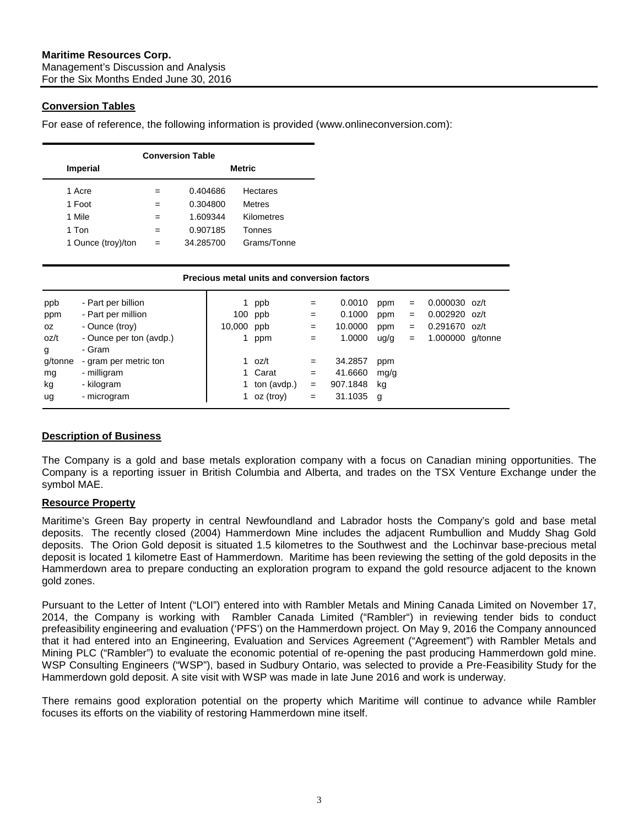## <span id="page-2-0"></span>**Conversion Tables**

For ease of reference, the following information is provided (www.onlineconversion.com):

| <b>Conversion Table</b> |               |           |                 |  |  |  |  |  |  |  |  |
|-------------------------|---------------|-----------|-----------------|--|--|--|--|--|--|--|--|
| <b>Imperial</b>         | <b>Metric</b> |           |                 |  |  |  |  |  |  |  |  |
| 1 Acre                  | $=$           | 0.404686  | <b>Hectares</b> |  |  |  |  |  |  |  |  |
| 1 Foot                  | $=$           | 0.304800  | <b>Metres</b>   |  |  |  |  |  |  |  |  |
| 1 Mile                  | $=$           | 1.609344  | Kilometres      |  |  |  |  |  |  |  |  |
| 1 Ton                   | $=$           | 0.907185  | Tonnes          |  |  |  |  |  |  |  |  |
| 1 Ounce (troy)/ton      | $=$           | 34.285700 | Grams/Tonne     |  |  |  |  |  |  |  |  |

|         | Precious metal units and conversion factors |            |             |     |          |      |     |                  |  |  |  |  |
|---------|---------------------------------------------|------------|-------------|-----|----------|------|-----|------------------|--|--|--|--|
| ppb     | - Part per billion                          |            | ppb         | $=$ | 0.0010   | ppm  | $=$ | $0.000030$ oz/t  |  |  |  |  |
| ppm     | - Part per million                          |            | 100 ppb     | $=$ | 0.1000   | ppm  | $=$ | $0.002920$ oz/t  |  |  |  |  |
| OZ.     | - Ounce (troy)                              | 10,000 ppb |             | $=$ | 10.0000  | ppm  | $=$ | $0.291670$ oz/t  |  |  |  |  |
| oz/t    | - Ounce per ton (avdp.)                     |            | ppm         | $=$ | 1.0000   | ug/g | $=$ | 1.000000 g/tonne |  |  |  |  |
| g       | - Gram                                      |            |             |     |          |      |     |                  |  |  |  |  |
| g/tonne | - gram per metric ton                       |            | oz/t        | $=$ | 34.2857  | ppm  |     |                  |  |  |  |  |
| mg      | - milligram                                 |            | 1 Carat     | $=$ | 41.6660  | mg/g |     |                  |  |  |  |  |
| kg      | - kilogram                                  |            | ton (avdp.) | $=$ | 907.1848 | kg   |     |                  |  |  |  |  |
| ug      | - microgram                                 |            | oz (troy)   | $=$ | 31.1035  | g    |     |                  |  |  |  |  |

## <span id="page-2-1"></span>**Description of Business**

The Company is a gold and base metals exploration company with a focus on Canadian mining opportunities. The Company is a reporting issuer in British Columbia and Alberta, and trades on the TSX Venture Exchange under the symbol MAE.

## <span id="page-2-2"></span>**Resource Property**

Maritime's Green Bay property in central Newfoundland and Labrador hosts the Company's gold and base metal deposits. The recently closed (2004) Hammerdown Mine includes the adjacent Rumbullion and Muddy Shag Gold deposits. The Orion Gold deposit is situated 1.5 kilometres to the Southwest and the Lochinvar base-precious metal deposit is located 1 kilometre East of Hammerdown. Maritime has been reviewing the setting of the gold deposits in the Hammerdown area to prepare conducting an exploration program to expand the gold resource adjacent to the known gold zones.

Pursuant to the Letter of Intent ("LOI") entered into with Rambler Metals and Mining Canada Limited on November 17, 2014, the Company is working with Rambler Canada Limited ("Rambler") in reviewing tender bids to conduct prefeasibility engineering and evaluation ('PFS') on the Hammerdown project. On May 9, 2016 the Company announced that it had entered into an Engineering, Evaluation and Services Agreement ("Agreement") with Rambler Metals and Mining PLC ("Rambler") to evaluate the economic potential of re-opening the past producing Hammerdown gold mine. WSP Consulting Engineers ("WSP"), based in Sudbury Ontario, was selected to provide a Pre-Feasibility Study for the Hammerdown gold deposit. A site visit with WSP was made in late June 2016 and work is underway.

There remains good exploration potential on the property which Maritime will continue to advance while Rambler focuses its efforts on the viability of restoring Hammerdown mine itself.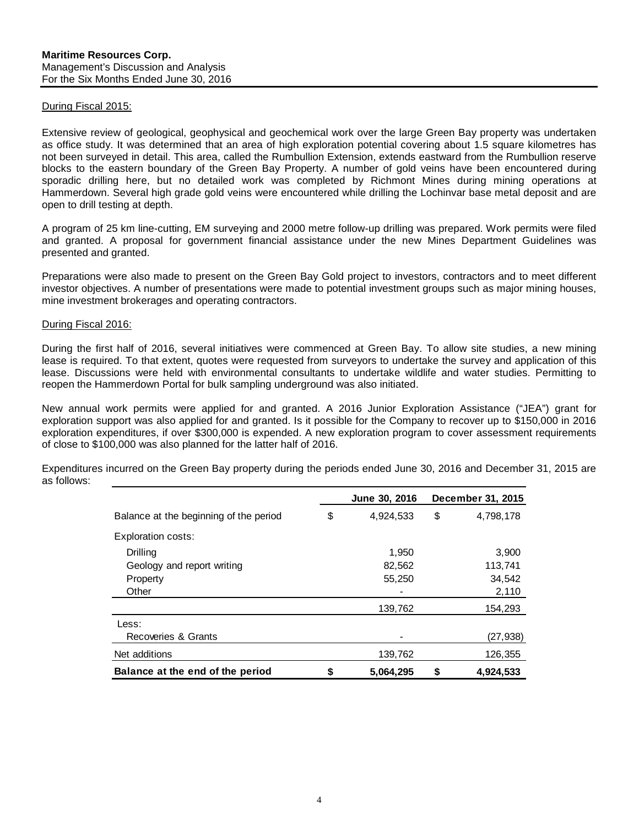#### During Fiscal 2015:

Extensive review of geological, geophysical and geochemical work over the large Green Bay property was undertaken as office study. It was determined that an area of high exploration potential covering about 1.5 square kilometres has not been surveyed in detail. This area, called the Rumbullion Extension, extends eastward from the Rumbullion reserve blocks to the eastern boundary of the Green Bay Property. A number of gold veins have been encountered during sporadic drilling here, but no detailed work was completed by Richmont Mines during mining operations at Hammerdown. Several high grade gold veins were encountered while drilling the Lochinvar base metal deposit and are open to drill testing at depth.

A program of 25 km line-cutting, EM surveying and 2000 metre follow-up drilling was prepared. Work permits were filed and granted. A proposal for government financial assistance under the new Mines Department Guidelines was presented and granted.

Preparations were also made to present on the Green Bay Gold project to investors, contractors and to meet different investor objectives. A number of presentations were made to potential investment groups such as major mining houses, mine investment brokerages and operating contractors.

#### During Fiscal 2016:

During the first half of 2016, several initiatives were commenced at Green Bay. To allow site studies, a new mining lease is required. To that extent, quotes were requested from surveyors to undertake the survey and application of this lease. Discussions were held with environmental consultants to undertake wildlife and water studies. Permitting to reopen the Hammerdown Portal for bulk sampling underground was also initiated.

New annual work permits were applied for and granted. A 2016 Junior Exploration Assistance ("JEA") grant for exploration support was also applied for and granted. Is it possible for the Company to recover up to \$150,000 in 2016 exploration expenditures, if over \$300,000 is expended. A new exploration program to cover assessment requirements of close to \$100,000 was also planned for the latter half of 2016.

|                                        | June 30, 2016   | December 31, 2015 |
|----------------------------------------|-----------------|-------------------|
| Balance at the beginning of the period | \$<br>4,924,533 | \$<br>4,798,178   |
| Exploration costs:                     |                 |                   |
| Drilling                               | 1.950           | 3,900             |
| Geology and report writing             | 82,562          | 113,741           |
| Property                               | 55,250          | 34,542            |
| Other                                  |                 | 2,110             |
|                                        | 139,762         | 154,293           |
| Less:                                  |                 |                   |
| Recoveries & Grants                    |                 | (27, 938)         |
| Net additions                          | 139,762         | 126,355           |
| Balance at the end of the period       | \$<br>5,064,295 | \$<br>4,924,533   |

Expenditures incurred on the Green Bay property during the periods ended June 30, 2016 and December 31, 2015 are as follows: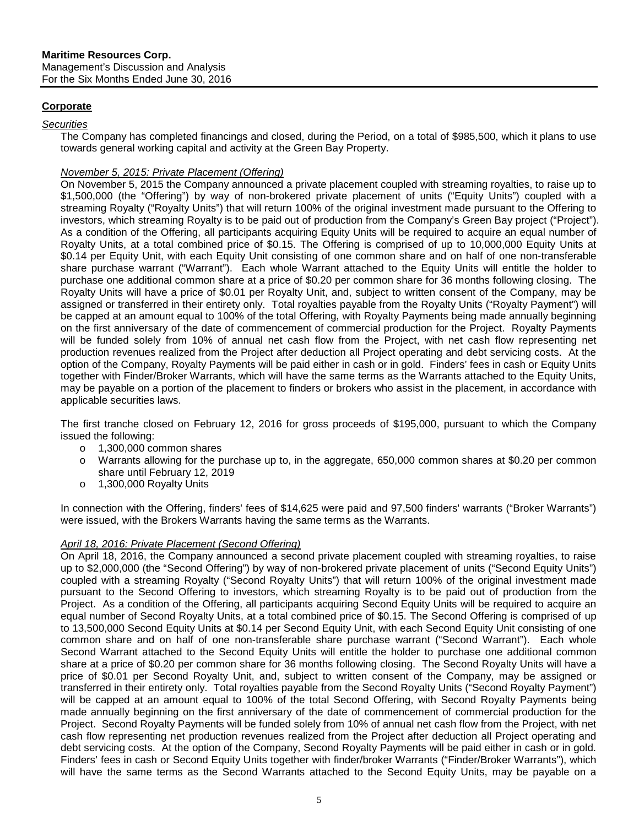## <span id="page-4-0"></span>**Corporate**

#### *Securities*

The Company has completed financings and closed, during the Period, on a total of \$985,500, which it plans to use towards general working capital and activity at the Green Bay Property.

## *November 5, 2015: Private Placement (Offering)*

On November 5, 2015 the Company announced a private placement coupled with streaming royalties, to raise up to \$1,500,000 (the "Offering") by way of non-brokered private placement of units ("Equity Units") coupled with a streaming Royalty ("Royalty Units") that will return 100% of the original investment made pursuant to the Offering to investors, which streaming Royalty is to be paid out of production from the Company's Green Bay project ("Project"). As a condition of the Offering, all participants acquiring Equity Units will be required to acquire an equal number of Royalty Units, at a total combined price of \$0.15. The Offering is comprised of up to 10,000,000 Equity Units at \$0.14 per Equity Unit, with each Equity Unit consisting of one common share and on half of one non-transferable share purchase warrant ("Warrant"). Each whole Warrant attached to the Equity Units will entitle the holder to purchase one additional common share at a price of \$0.20 per common share for 36 months following closing. The Royalty Units will have a price of \$0.01 per Royalty Unit, and, subject to written consent of the Company, may be assigned or transferred in their entirety only. Total royalties payable from the Royalty Units ("Royalty Payment") will be capped at an amount equal to 100% of the total Offering, with Royalty Payments being made annually beginning on the first anniversary of the date of commencement of commercial production for the Project. Royalty Payments will be funded solely from 10% of annual net cash flow from the Project, with net cash flow representing net production revenues realized from the Project after deduction all Project operating and debt servicing costs. At the option of the Company, Royalty Payments will be paid either in cash or in gold. Finders' fees in cash or Equity Units together with Finder/Broker Warrants, which will have the same terms as the Warrants attached to the Equity Units, may be payable on a portion of the placement to finders or brokers who assist in the placement, in accordance with applicable securities laws.

The first tranche closed on February 12, 2016 for gross proceeds of \$195,000, pursuant to which the Company issued the following:

- o 1,300,000 common shares
- o Warrants allowing for the purchase up to, in the aggregate, 650,000 common shares at \$0.20 per common share until February 12, 2019
- o 1,300,000 Royalty Units

In connection with the Offering, finders' fees of \$14,625 were paid and 97,500 finders' warrants ("Broker Warrants") were issued, with the Brokers Warrants having the same terms as the Warrants.

## *April 18, 2016: Private Placement (Second Offering)*

On April 18, 2016, the Company announced a second private placement coupled with streaming royalties, to raise up to \$2,000,000 (the "Second Offering") by way of non-brokered private placement of units ("Second Equity Units") coupled with a streaming Royalty ("Second Royalty Units") that will return 100% of the original investment made pursuant to the Second Offering to investors, which streaming Royalty is to be paid out of production from the Project. As a condition of the Offering, all participants acquiring Second Equity Units will be required to acquire an equal number of Second Royalty Units, at a total combined price of \$0.15. The Second Offering is comprised of up to 13,500,000 Second Equity Units at \$0.14 per Second Equity Unit, with each Second Equity Unit consisting of one common share and on half of one non-transferable share purchase warrant ("Second Warrant"). Each whole Second Warrant attached to the Second Equity Units will entitle the holder to purchase one additional common share at a price of \$0.20 per common share for 36 months following closing. The Second Royalty Units will have a price of \$0.01 per Second Royalty Unit, and, subject to written consent of the Company, may be assigned or transferred in their entirety only. Total royalties payable from the Second Royalty Units ("Second Royalty Payment") will be capped at an amount equal to 100% of the total Second Offering, with Second Royalty Payments being made annually beginning on the first anniversary of the date of commencement of commercial production for the Project. Second Royalty Payments will be funded solely from 10% of annual net cash flow from the Project, with net cash flow representing net production revenues realized from the Project after deduction all Project operating and debt servicing costs. At the option of the Company, Second Royalty Payments will be paid either in cash or in gold. Finders' fees in cash or Second Equity Units together with finder/broker Warrants ("Finder/Broker Warrants"), which will have the same terms as the Second Warrants attached to the Second Equity Units, may be payable on a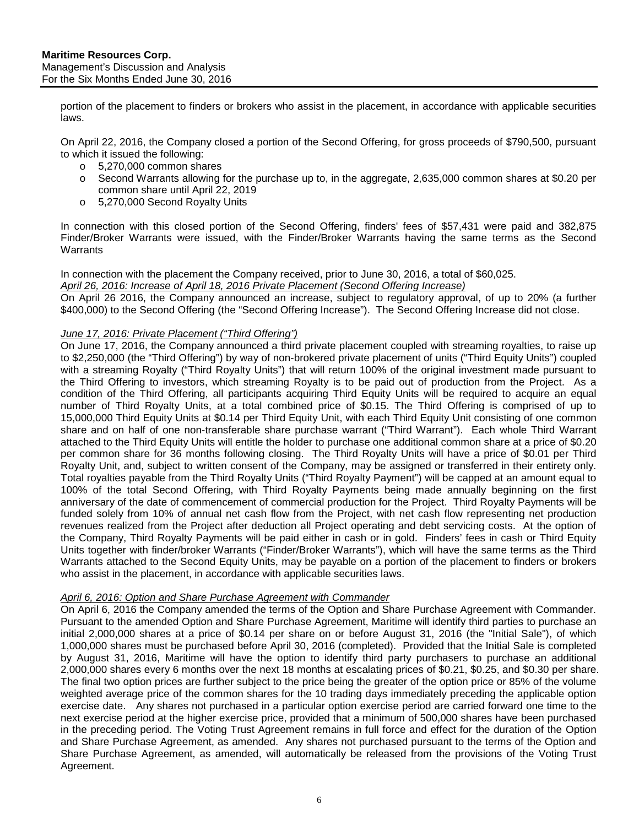portion of the placement to finders or brokers who assist in the placement, in accordance with applicable securities laws.

On April 22, 2016, the Company closed a portion of the Second Offering, for gross proceeds of \$790,500, pursuant to which it issued the following:

- o 5,270,000 common shares
- o Second Warrants allowing for the purchase up to, in the aggregate, 2,635,000 common shares at \$0.20 per common share until April 22, 2019
- o 5,270,000 Second Royalty Units

In connection with this closed portion of the Second Offering, finders' fees of \$57,431 were paid and 382,875 Finder/Broker Warrants were issued, with the Finder/Broker Warrants having the same terms as the Second **Warrants** 

#### In connection with the placement the Company received, prior to June 30, 2016, a total of \$60,025. *April 26, 2016: Increase of April 18, 2016 Private Placement (Second Offering Increase)*

On April 26 2016, the Company announced an increase, subject to regulatory approval, of up to 20% (a further \$400,000) to the Second Offering (the "Second Offering Increase"). The Second Offering Increase did not close.

#### *June 17, 2016: Private Placement ("Third Offering")*

On June 17, 2016, the Company announced a third private placement coupled with streaming royalties, to raise up to \$2,250,000 (the "Third Offering") by way of non-brokered private placement of units ("Third Equity Units") coupled with a streaming Royalty ("Third Royalty Units") that will return 100% of the original investment made pursuant to the Third Offering to investors, which streaming Royalty is to be paid out of production from the Project. As a condition of the Third Offering, all participants acquiring Third Equity Units will be required to acquire an equal number of Third Royalty Units, at a total combined price of \$0.15. The Third Offering is comprised of up to 15,000,000 Third Equity Units at \$0.14 per Third Equity Unit, with each Third Equity Unit consisting of one common share and on half of one non-transferable share purchase warrant ("Third Warrant"). Each whole Third Warrant attached to the Third Equity Units will entitle the holder to purchase one additional common share at a price of \$0.20 per common share for 36 months following closing. The Third Royalty Units will have a price of \$0.01 per Third Royalty Unit, and, subject to written consent of the Company, may be assigned or transferred in their entirety only. Total royalties payable from the Third Royalty Units ("Third Royalty Payment") will be capped at an amount equal to 100% of the total Second Offering, with Third Royalty Payments being made annually beginning on the first anniversary of the date of commencement of commercial production for the Project. Third Royalty Payments will be funded solely from 10% of annual net cash flow from the Project, with net cash flow representing net production revenues realized from the Project after deduction all Project operating and debt servicing costs. At the option of the Company, Third Royalty Payments will be paid either in cash or in gold. Finders' fees in cash or Third Equity Units together with finder/broker Warrants ("Finder/Broker Warrants"), which will have the same terms as the Third Warrants attached to the Second Equity Units, may be payable on a portion of the placement to finders or brokers who assist in the placement, in accordance with applicable securities laws.

#### *April 6, 2016: Option and Share Purchase Agreement with Commander*

On April 6, 2016 the Company amended the terms of the Option and Share Purchase Agreement with Commander. Pursuant to the amended Option and Share Purchase Agreement, Maritime will identify third parties to purchase an initial 2,000,000 shares at a price of \$0.14 per share on or before August 31, 2016 (the "Initial Sale"), of which 1,000,000 shares must be purchased before April 30, 2016 (completed). Provided that the Initial Sale is completed by August 31, 2016, Maritime will have the option to identify third party purchasers to purchase an additional 2,000,000 shares every 6 months over the next 18 months at escalating prices of \$0.21, \$0.25, and \$0.30 per share. The final two option prices are further subject to the price being the greater of the option price or 85% of the volume weighted average price of the common shares for the 10 trading days immediately preceding the applicable option exercise date. Any shares not purchased in a particular option exercise period are carried forward one time to the next exercise period at the higher exercise price, provided that a minimum of 500,000 shares have been purchased in the preceding period. The Voting Trust Agreement remains in full force and effect for the duration of the Option and Share Purchase Agreement, as amended. Any shares not purchased pursuant to the terms of the Option and Share Purchase Agreement, as amended, will automatically be released from the provisions of the Voting Trust Agreement.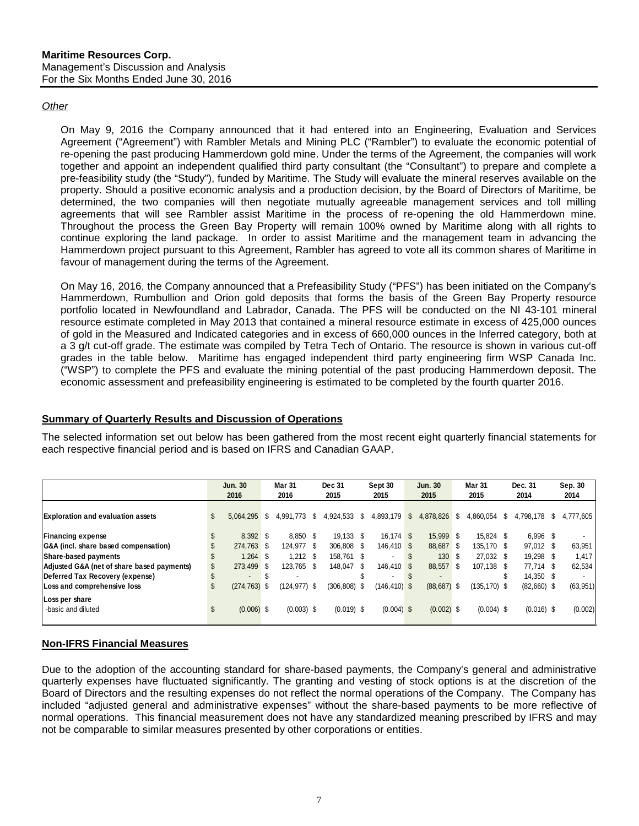### *Other*

On May 9, 2016 the Company announced that it had entered into an Engineering, Evaluation and Services Agreement ("Agreement") with Rambler Metals and Mining PLC ("Rambler") to evaluate the economic potential of re-opening the past producing Hammerdown gold mine. Under the terms of the Agreement, the companies will work together and appoint an independent qualified third party consultant (the "Consultant") to prepare and complete a pre-feasibility study (the "Study"), funded by Maritime. The Study will evaluate the mineral reserves available on the property. Should a positive economic analysis and a production decision, by the Board of Directors of Maritime, be determined, the two companies will then negotiate mutually agreeable management services and toll milling agreements that will see Rambler assist Maritime in the process of re-opening the old Hammerdown mine. Throughout the process the Green Bay Property will remain 100% owned by Maritime along with all rights to continue exploring the land package. In order to assist Maritime and the management team in advancing the Hammerdown project pursuant to this Agreement, Rambler has agreed to vote all its common shares of Maritime in favour of management during the terms of the Agreement.

On May 16, 2016, the Company announced that a Prefeasibility Study ("PFS") has been initiated on the Company's Hammerdown, Rumbullion and Orion gold deposits that forms the basis of the Green Bay Property resource portfolio located in Newfoundland and Labrador, Canada. The PFS will be conducted on the NI 43-101 mineral resource estimate completed in May 2013 that contained a mineral resource estimate in excess of 425,000 ounces of gold in the Measured and Indicated categories and in excess of 660,000 ounces in the Inferred category, both at a 3 g/t cut-off grade. The estimate was compiled by Tetra Tech of Ontario. The resource is shown in various cut-off grades in the table below. Maritime has engaged independent third party engineering firm WSP Canada Inc. ("WSP") to complete the PFS and evaluate the mining potential of the past producing Hammerdown deposit. The economic assessment and prefeasibility engineering is estimated to be completed by the fourth quarter 2016.

## <span id="page-6-0"></span>**Summary of Quarterly Results and Discussion of Operations**

The selected information set out below has been gathered from the most recent eight quarterly financial statements for each respective financial period and is based on IFRS and Canadian GAAP.

|                                            |    | <b>Jun. 30</b><br>2016 | Mar 31<br>2016 | <b>Dec 31</b><br>2015 |      | Sept 30<br>2015 |   | <b>Jun. 30</b><br>2015 | <b>Mar 31</b><br>2015 |                 | Dec. 31<br>2014 |               | Sep. 30<br>2014 |
|--------------------------------------------|----|------------------------|----------------|-----------------------|------|-----------------|---|------------------------|-----------------------|-----------------|-----------------|---------------|-----------------|
| <b>Exploration and evaluation assets</b>   | \$ | 5.064.295 \$           | 4.991.773 \$   | 4,924,533             | S    | 4,893,179       | S | 4,878,826              | S                     | 4.860.054       | S               | 4,798,178 \$  | 4.777.605       |
| <b>Financing expense</b>                   | \$ | 8.392 \$               | 8.850 \$       | 19.133 \$             |      | 16.174 \$       |   | 15.999 \$              |                       | 15.824 \$       |                 | 6.996 \$      |                 |
| G&A (incl. share based compensation)       |    | 274.763 \$             | 124.977 \$     | 306.808 \$            |      | 146.410 \$      |   | 88,687 \$              |                       | 135.170 \$      |                 | 97,012 \$     | 63,951          |
| Share-based payments                       |    | $1.264$ \$             | $1.212$ \$     | 158.761 \$            |      |                 |   | 130 \$                 |                       | 27.032 \$       |                 | 19,298 \$     | 1,417           |
| Adjusted G&A (net of share based payments) | S  | 273.499 \$             | 123.765 \$     | 148.047               | - \$ | 146.410 \$      |   | 88.557 \$              |                       | 107.138 \$      |                 | 77.714 \$     | 62,534          |
| Deferred Tax Recovery (expense)            |    | $\blacksquare$         |                |                       |      |                 |   |                        |                       |                 | \$              | 14.350 \$     |                 |
| Loss and comprehensive loss                | \$ | $(274, 763)$ \$        | (124,977) \$   | (306,808)             | S.   | $(146, 410)$ \$ |   | (88, 687)              | - \$                  | $(135, 170)$ \$ |                 | $(82,660)$ \$ | (63, 951)       |
| Loss per share                             |    |                        |                |                       |      |                 |   |                        |                       |                 |                 |               |                 |
| -basic and diluted                         | £. | $(0.006)$ \$           | $(0.003)$ \$   | $(0.019)$ \$          |      | $(0.004)$ \$    |   | $(0.002)$ \$           |                       | $(0.004)$ \$    |                 | $(0.016)$ \$  | (0.002)         |

## **Non-IFRS Financial Measures**

Due to the adoption of the accounting standard for share-based payments, the Company's general and administrative quarterly expenses have fluctuated significantly. The granting and vesting of stock options is at the discretion of the Board of Directors and the resulting expenses do not reflect the normal operations of the Company. The Company has included "adjusted general and administrative expenses" without the share-based payments to be more reflective of normal operations. This financial measurement does not have any standardized meaning prescribed by IFRS and may not be comparable to similar measures presented by other corporations or entities.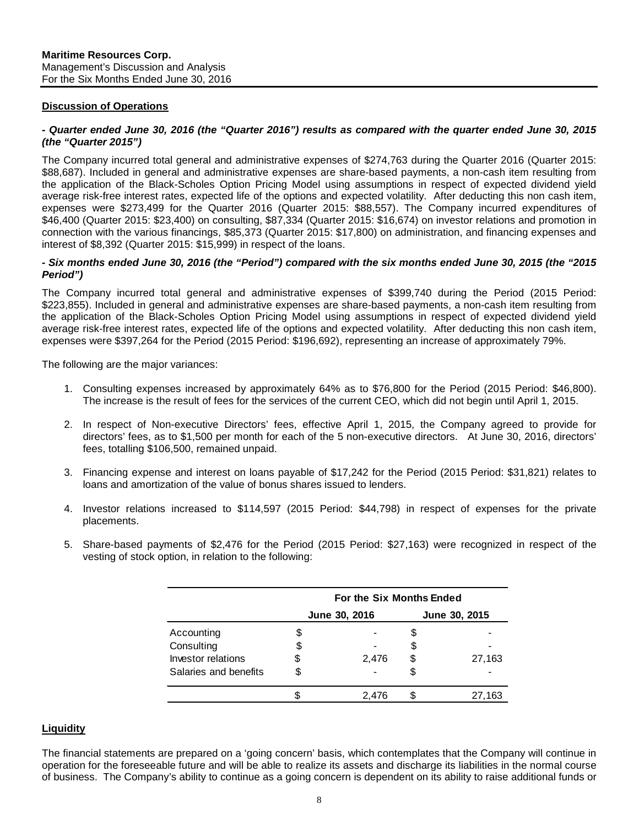#### **Discussion of Operations**

#### *- Quarter ended June 30, 2016 (the "Quarter 2016") results as compared with the quarter ended June 30, 2015 (the "Quarter 2015")*

The Company incurred total general and administrative expenses of \$274,763 during the Quarter 2016 (Quarter 2015: \$88,687). Included in general and administrative expenses are share-based payments, a non-cash item resulting from the application of the Black-Scholes Option Pricing Model using assumptions in respect of expected dividend yield average risk-free interest rates, expected life of the options and expected volatility. After deducting this non cash item, expenses were \$273,499 for the Quarter 2016 (Quarter 2015: \$88,557). The Company incurred expenditures of \$46,400 (Quarter 2015: \$23,400) on consulting, \$87,334 (Quarter 2015: \$16,674) on investor relations and promotion in connection with the various financings, \$85,373 (Quarter 2015: \$17,800) on administration, and financing expenses and interest of \$8,392 (Quarter 2015: \$15,999) in respect of the loans.

#### *- Six months ended June 30, 2016 (the "Period") compared with the six months ended June 30, 2015 (the "2015 Period")*

The Company incurred total general and administrative expenses of \$399,740 during the Period (2015 Period: \$223,855). Included in general and administrative expenses are share-based payments, a non-cash item resulting from the application of the Black-Scholes Option Pricing Model using assumptions in respect of expected dividend yield average risk-free interest rates, expected life of the options and expected volatility. After deducting this non cash item, expenses were \$397,264 for the Period (2015 Period: \$196,692), representing an increase of approximately 79%.

The following are the major variances:

- 1. Consulting expenses increased by approximately 64% as to \$76,800 for the Period (2015 Period: \$46,800). The increase is the result of fees for the services of the current CEO, which did not begin until April 1, 2015.
- 2. In respect of Non-executive Directors' fees, effective April 1, 2015, the Company agreed to provide for directors' fees, as to \$1,500 per month for each of the 5 non-executive directors. At June 30, 2016, directors' fees, totalling \$106,500, remained unpaid.
- 3. Financing expense and interest on loans payable of \$17,242 for the Period (2015 Period: \$31,821) relates to loans and amortization of the value of bonus shares issued to lenders.
- 4. Investor relations increased to \$114,597 (2015 Period: \$44,798) in respect of expenses for the private placements.
- 5. Share-based payments of \$2,476 for the Period (2015 Period: \$27,163) were recognized in respect of the vesting of stock option, in relation to the following:

|                       | For the Six Months Ended |               |    |        |  |  |  |  |  |
|-----------------------|--------------------------|---------------|----|--------|--|--|--|--|--|
|                       | June 30, 2016            | June 30, 2015 |    |        |  |  |  |  |  |
| Accounting            | S                        |               |    |        |  |  |  |  |  |
| Consulting            |                          |               | S  |        |  |  |  |  |  |
| Investor relations    | \$                       | 2,476         | \$ | 27,163 |  |  |  |  |  |
| Salaries and benefits | S.                       |               |    |        |  |  |  |  |  |
|                       |                          | 2.476         |    | 27,163 |  |  |  |  |  |

#### <span id="page-7-0"></span>**Liquidity**

The financial statements are prepared on a 'going concern' basis, which contemplates that the Company will continue in operation for the foreseeable future and will be able to realize its assets and discharge its liabilities in the normal course of business. The Company's ability to continue as a going concern is dependent on its ability to raise additional funds or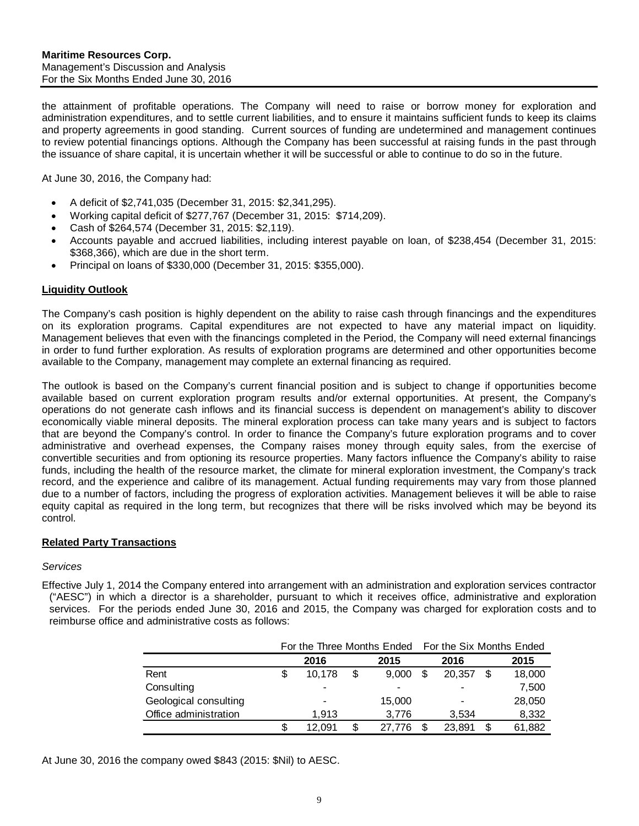the attainment of profitable operations. The Company will need to raise or borrow money for exploration and administration expenditures, and to settle current liabilities, and to ensure it maintains sufficient funds to keep its claims and property agreements in good standing. Current sources of funding are undetermined and management continues to review potential financings options. Although the Company has been successful at raising funds in the past through the issuance of share capital, it is uncertain whether it will be successful or able to continue to do so in the future.

At June 30, 2016, the Company had:

- A deficit of \$2,741,035 (December 31, 2015: \$2,341,295).
- Working capital deficit of \$277,767 (December 31, 2015: \$714,209).
- Cash of \$264,574 (December 31, 2015: \$2,119).
- Accounts payable and accrued liabilities, including interest payable on loan, of \$238,454 (December 31, 2015: \$368,366), which are due in the short term.
- Principal on loans of \$330,000 (December 31, 2015: \$355,000).

#### <span id="page-8-0"></span>**Liquidity Outlook**

The Company's cash position is highly dependent on the ability to raise cash through financings and the expenditures on its exploration programs. Capital expenditures are not expected to have any material impact on liquidity. Management believes that even with the financings completed in the Period, the Company will need external financings in order to fund further exploration. As results of exploration programs are determined and other opportunities become available to the Company, management may complete an external financing as required.

The outlook is based on the Company's current financial position and is subject to change if opportunities become available based on current exploration program results and/or external opportunities. At present, the Company's operations do not generate cash inflows and its financial success is dependent on management's ability to discover economically viable mineral deposits. The mineral exploration process can take many years and is subject to factors that are beyond the Company's control. In order to finance the Company's future exploration programs and to cover administrative and overhead expenses, the Company raises money through equity sales, from the exercise of convertible securities and from optioning its resource properties. Many factors influence the Company's ability to raise funds, including the health of the resource market, the climate for mineral exploration investment, the Company's track record, and the experience and calibre of its management. Actual funding requirements may vary from those planned due to a number of factors, including the progress of exploration activities. Management believes it will be able to raise equity capital as required in the long term, but recognizes that there will be risks involved which may be beyond its control.

#### <span id="page-8-1"></span>**Related Party Transactions**

#### *Services*

Effective July 1, 2014 the Company entered into arrangement with an administration and exploration services contractor ("AESC") in which a director is a shareholder, pursuant to which it receives office, administrative and exploration services. For the periods ended June 30, 2016 and 2015, the Company was charged for exploration costs and to reimburse office and administrative costs as follows:

|                       |        |     | For the Three Months Ended For the Six Months Ended |  |        |   |        |
|-----------------------|--------|-----|-----------------------------------------------------|--|--------|---|--------|
|                       | 2016   |     | 2015                                                |  | 2016   |   | 2015   |
| Rent                  | 10.178 | \$  | 9.000                                               |  | 20.357 | S | 18,000 |
| Consulting            |        |     | -                                                   |  |        |   | 7,500  |
| Geological consulting |        |     | 15,000                                              |  |        |   | 28,050 |
| Office administration | 1.913  |     | 3.776                                               |  | 3.534  |   | 8,332  |
|                       | 12.091 | \$. | 27.776                                              |  | 23.891 |   | 61,882 |

At June 30, 2016 the company owed \$843 (2015: \$Nil) to AESC.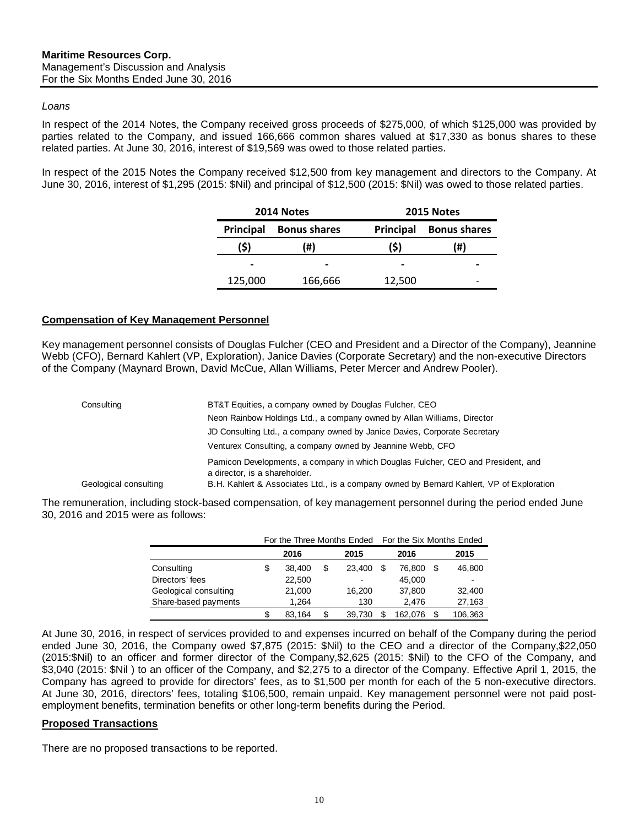#### *Loans*

In respect of the 2014 Notes, the Company received gross proceeds of \$275,000, of which \$125,000 was provided by parties related to the Company, and issued 166,666 common shares valued at \$17,330 as bonus shares to these related parties. At June 30, 2016, interest of \$19,569 was owed to those related parties.

In respect of the 2015 Notes the Company received \$12,500 from key management and directors to the Company. At June 30, 2016, interest of \$1,295 (2015: \$Nil) and principal of \$12,500 (2015: \$Nil) was owed to those related parties.

|           | 2014 Notes          | 2015 Notes       |                     |  |  |  |  |
|-----------|---------------------|------------------|---------------------|--|--|--|--|
| Principal | <b>Bonus shares</b> | <b>Principal</b> | <b>Bonus shares</b> |  |  |  |  |
| (\$)      | (#)                 | (S)              | (#)                 |  |  |  |  |
|           |                     |                  |                     |  |  |  |  |
| 125,000   | 166,666             | 12,500           |                     |  |  |  |  |

#### <span id="page-9-0"></span>**Compensation of Key Management Personnel**

Key management personnel consists of Douglas Fulcher (CEO and President and a Director of the Company), Jeannine Webb (CFO), Bernard Kahlert (VP, Exploration), Janice Davies (Corporate Secretary) and the non-executive Directors of the Company (Maynard Brown, David McCue, Allan Williams, Peter Mercer and Andrew Pooler).

| Consulting            | BT&T Equities, a company owned by Douglas Fulcher, CEO                                                            |
|-----------------------|-------------------------------------------------------------------------------------------------------------------|
|                       | Neon Rainbow Holdings Ltd., a company owned by Allan Williams, Director                                           |
|                       | JD Consulting Ltd., a company owned by Janice Davies, Corporate Secretary                                         |
|                       | Venturex Consulting, a company owned by Jeannine Webb, CFO                                                        |
|                       | Pamicon Developments, a company in which Douglas Fulcher, CEO and President, and<br>a director, is a shareholder. |
| Geological consulting | B.H. Kahlert & Associates Ltd., is a company owned by Bernard Kahlert, VP of Exploration                          |

The remuneration, including stock-based compensation, of key management personnel during the period ended June 30, 2016 and 2015 were as follows:

|                       |    |        | For the Three Months Ended | For the Six Months Ended |  |         |     |                          |
|-----------------------|----|--------|----------------------------|--------------------------|--|---------|-----|--------------------------|
|                       |    | 2016   |                            | 2015                     |  | 2016    |     | 2015                     |
| Consulting            | \$ | 38.400 | S                          | 23,400                   |  | 76.800  | \$. | 46,800                   |
| Directors' fees       |    | 22,500 |                            | $\overline{\phantom{0}}$ |  | 45.000  |     | $\overline{\phantom{0}}$ |
| Geological consulting |    | 21,000 |                            | 16,200                   |  | 37,800  |     | 32,400                   |
| Share-based payments  |    | 1.264  |                            | 130                      |  | 2.476   |     | 27,163                   |
|                       | S  | 83.164 | S                          | 39.730                   |  | 162.076 |     | 106,363                  |

At June 30, 2016, in respect of services provided to and expenses incurred on behalf of the Company during the period ended June 30, 2016, the Company owed \$7,875 (2015: \$Nil) to the CEO and a director of the Company,\$22,050 (2015:\$Nil) to an officer and former director of the Company,\$2,625 (2015: \$Nil) to the CFO of the Company, and \$3,040 (2015: \$Nil ) to an officer of the Company, and \$2,275 to a director of the Company. Effective April 1, 2015, the Company has agreed to provide for directors' fees, as to \$1,500 per month for each of the 5 non-executive directors. At June 30, 2016, directors' fees, totaling \$106,500, remain unpaid. Key management personnel were not paid postemployment benefits, termination benefits or other long-term benefits during the Period.

#### <span id="page-9-1"></span>**Proposed Transactions**

There are no proposed transactions to be reported.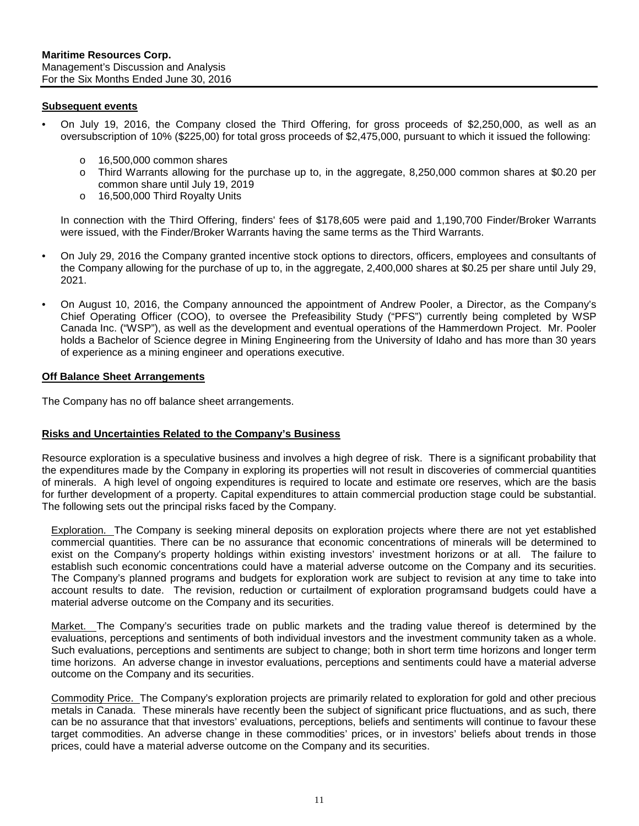## <span id="page-10-0"></span>**Subsequent events**

- On July 19, 2016, the Company closed the Third Offering, for gross proceeds of \$2,250,000, as well as an oversubscription of 10% (\$225,00) for total gross proceeds of \$2,475,000, pursuant to which it issued the following:
	- o 16,500,000 common shares
	- o Third Warrants allowing for the purchase up to, in the aggregate, 8,250,000 common shares at \$0.20 per common share until July 19, 2019
	- o 16,500,000 Third Royalty Units

In connection with the Third Offering, finders' fees of \$178,605 were paid and 1,190,700 Finder/Broker Warrants were issued, with the Finder/Broker Warrants having the same terms as the Third Warrants.

- On July 29, 2016 the Company granted incentive stock options to directors, officers, employees and consultants of the Company allowing for the purchase of up to, in the aggregate, 2,400,000 shares at \$0.25 per share until July 29, 2021.
- On August 10, 2016, the Company announced the appointment of Andrew Pooler, a Director, as the Company's Chief Operating Officer (COO), to oversee the Prefeasibility Study ("PFS") currently being completed by WSP Canada Inc. ("WSP"), as well as the development and eventual operations of the Hammerdown Project. Mr. Pooler holds a Bachelor of Science degree in Mining Engineering from the University of Idaho and has more than 30 years of experience as a mining engineer and operations executive.

#### <span id="page-10-1"></span>**Off Balance Sheet Arrangements**

The Company has no off balance sheet arrangements.

#### <span id="page-10-2"></span>**Risks and Uncertainties Related to the Company's Business**

Resource exploration is a speculative business and involves a high degree of risk. There is a significant probability that the expenditures made by the Company in exploring its properties will not result in discoveries of commercial quantities of minerals. A high level of ongoing expenditures is required to locate and estimate ore reserves, which are the basis for further development of a property. Capital expenditures to attain commercial production stage could be substantial. The following sets out the principal risks faced by the Company.

Exploration. The Company is seeking mineral deposits on exploration projects where there are not yet established commercial quantities. There can be no assurance that economic concentrations of minerals will be determined to exist on the Company's property holdings within existing investors' investment horizons or at all. The failure to establish such economic concentrations could have a material adverse outcome on the Company and its securities. The Company's planned programs and budgets for exploration work are subject to revision at any time to take into account results to date. The revision, reduction or curtailment of exploration programsand budgets could have a material adverse outcome on the Company and its securities.

Market. The Company's securities trade on public markets and the trading value thereof is determined by the evaluations, perceptions and sentiments of both individual investors and the investment community taken as a whole. Such evaluations, perceptions and sentiments are subject to change; both in short term time horizons and longer term time horizons. An adverse change in investor evaluations, perceptions and sentiments could have a material adverse outcome on the Company and its securities.

Commodity Price. The Company's exploration projects are primarily related to exploration for gold and other precious metals in Canada. These minerals have recently been the subject of significant price fluctuations, and as such, there can be no assurance that that investors' evaluations, perceptions, beliefs and sentiments will continue to favour these target commodities. An adverse change in these commodities' prices, or in investors' beliefs about trends in those prices, could have a material adverse outcome on the Company and its securities.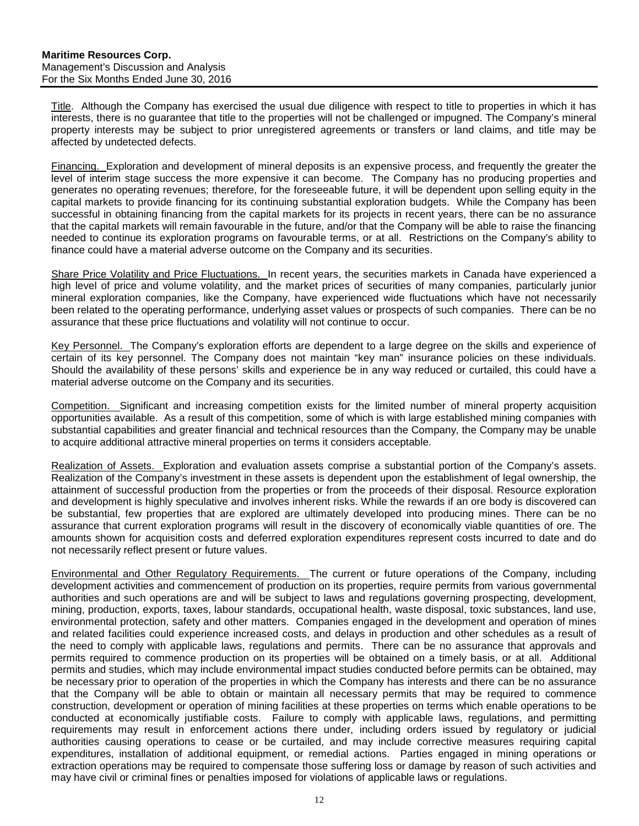Title. Although the Company has exercised the usual due diligence with respect to title to properties in which it has interests, there is no guarantee that title to the properties will not be challenged or impugned. The Company's mineral property interests may be subject to prior unregistered agreements or transfers or land claims, and title may be affected by undetected defects.

Financing. Exploration and development of mineral deposits is an expensive process, and frequently the greater the level of interim stage success the more expensive it can become. The Company has no producing properties and generates no operating revenues; therefore, for the foreseeable future, it will be dependent upon selling equity in the capital markets to provide financing for its continuing substantial exploration budgets. While the Company has been successful in obtaining financing from the capital markets for its projects in recent years, there can be no assurance that the capital markets will remain favourable in the future, and/or that the Company will be able to raise the financing needed to continue its exploration programs on favourable terms, or at all. Restrictions on the Company's ability to finance could have a material adverse outcome on the Company and its securities.

Share Price Volatility and Price Fluctuations. In recent years, the securities markets in Canada have experienced a high level of price and volume volatility, and the market prices of securities of many companies, particularly junior mineral exploration companies, like the Company, have experienced wide fluctuations which have not necessarily been related to the operating performance, underlying asset values or prospects of such companies. There can be no assurance that these price fluctuations and volatility will not continue to occur.

Key Personnel. The Company's exploration efforts are dependent to a large degree on the skills and experience of certain of its key personnel. The Company does not maintain "key man" insurance policies on these individuals. Should the availability of these persons' skills and experience be in any way reduced or curtailed, this could have a material adverse outcome on the Company and its securities.

Competition. Significant and increasing competition exists for the limited number of mineral property acquisition opportunities available. As a result of this competition, some of which is with large established mining companies with substantial capabilities and greater financial and technical resources than the Company, the Company may be unable to acquire additional attractive mineral properties on terms it considers acceptable.

Realization of Assets. Exploration and evaluation assets comprise a substantial portion of the Company's assets. Realization of the Company's investment in these assets is dependent upon the establishment of legal ownership, the attainment of successful production from the properties or from the proceeds of their disposal. Resource exploration and development is highly speculative and involves inherent risks. While the rewards if an ore body is discovered can be substantial, few properties that are explored are ultimately developed into producing mines. There can be no assurance that current exploration programs will result in the discovery of economically viable quantities of ore. The amounts shown for acquisition costs and deferred exploration expenditures represent costs incurred to date and do not necessarily reflect present or future values.

Environmental and Other Regulatory Requirements. The current or future operations of the Company, including development activities and commencement of production on its properties, require permits from various governmental authorities and such operations are and will be subject to laws and regulations governing prospecting, development, mining, production, exports, taxes, labour standards, occupational health, waste disposal, toxic substances, land use, environmental protection, safety and other matters. Companies engaged in the development and operation of mines and related facilities could experience increased costs, and delays in production and other schedules as a result of the need to comply with applicable laws, regulations and permits. There can be no assurance that approvals and permits required to commence production on its properties will be obtained on a timely basis, or at all. Additional permits and studies, which may include environmental impact studies conducted before permits can be obtained, may be necessary prior to operation of the properties in which the Company has interests and there can be no assurance that the Company will be able to obtain or maintain all necessary permits that may be required to commence construction, development or operation of mining facilities at these properties on terms which enable operations to be conducted at economically justifiable costs. Failure to comply with applicable laws, regulations, and permitting requirements may result in enforcement actions there under, including orders issued by regulatory or judicial authorities causing operations to cease or be curtailed, and may include corrective measures requiring capital expenditures, installation of additional equipment, or remedial actions. Parties engaged in mining operations or extraction operations may be required to compensate those suffering loss or damage by reason of such activities and may have civil or criminal fines or penalties imposed for violations of applicable laws or regulations.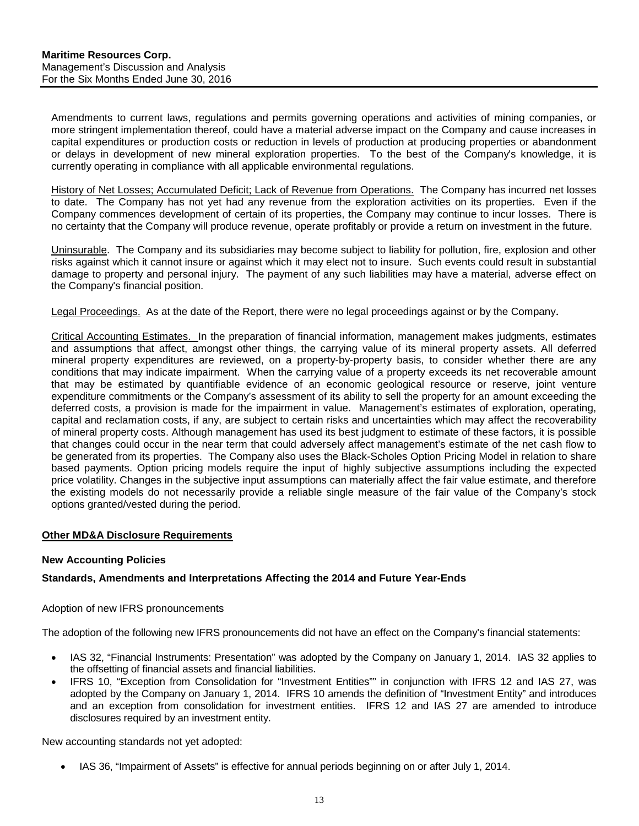Amendments to current laws, regulations and permits governing operations and activities of mining companies, or more stringent implementation thereof, could have a material adverse impact on the Company and cause increases in capital expenditures or production costs or reduction in levels of production at producing properties or abandonment or delays in development of new mineral exploration properties. To the best of the Company's knowledge, it is currently operating in compliance with all applicable environmental regulations.

History of Net Losses; Accumulated Deficit; Lack of Revenue from Operations. The Company has incurred net losses to date. The Company has not yet had any revenue from the exploration activities on its properties. Even if the Company commences development of certain of its properties, the Company may continue to incur losses. There is no certainty that the Company will produce revenue, operate profitably or provide a return on investment in the future.

Uninsurable. The Company and its subsidiaries may become subject to liability for pollution, fire, explosion and other risks against which it cannot insure or against which it may elect not to insure. Such events could result in substantial damage to property and personal injury. The payment of any such liabilities may have a material, adverse effect on the Company's financial position.

Legal Proceedings. As at the date of the Report, there were no legal proceedings against or by the Company.

Critical Accounting Estimates. In the preparation of financial information, management makes judgments, estimates and assumptions that affect, amongst other things, the carrying value of its mineral property assets. All deferred mineral property expenditures are reviewed, on a property-by-property basis, to consider whether there are any conditions that may indicate impairment. When the carrying value of a property exceeds its net recoverable amount that may be estimated by quantifiable evidence of an economic geological resource or reserve, joint venture expenditure commitments or the Company's assessment of its ability to sell the property for an amount exceeding the deferred costs, a provision is made for the impairment in value. Management's estimates of exploration, operating, capital and reclamation costs, if any, are subject to certain risks and uncertainties which may affect the recoverability of mineral property costs. Although management has used its best judgment to estimate of these factors, it is possible that changes could occur in the near term that could adversely affect management's estimate of the net cash flow to be generated from its properties. The Company also uses the Black-Scholes Option Pricing Model in relation to share based payments. Option pricing models require the input of highly subjective assumptions including the expected price volatility. Changes in the subjective input assumptions can materially affect the fair value estimate, and therefore the existing models do not necessarily provide a reliable single measure of the fair value of the Company's stock options granted/vested during the period.

## <span id="page-12-0"></span>**Other MD&A Disclosure Requirements**

#### **New Accounting Policies**

#### **Standards, Amendments and Interpretations Affecting the 2014 and Future Year-Ends**

#### Adoption of new IFRS pronouncements

The adoption of the following new IFRS pronouncements did not have an effect on the Company's financial statements:

- IAS 32, "Financial Instruments: Presentation" was adopted by the Company on January 1, 2014. IAS 32 applies to the offsetting of financial assets and financial liabilities.
- IFRS 10, "Exception from Consolidation for "Investment Entities"" in conjunction with IFRS 12 and IAS 27, was adopted by the Company on January 1, 2014. IFRS 10 amends the definition of "Investment Entity" and introduces and an exception from consolidation for investment entities. IFRS 12 and IAS 27 are amended to introduce disclosures required by an investment entity.

New accounting standards not yet adopted:

• IAS 36, "Impairment of Assets" is effective for annual periods beginning on or after July 1, 2014.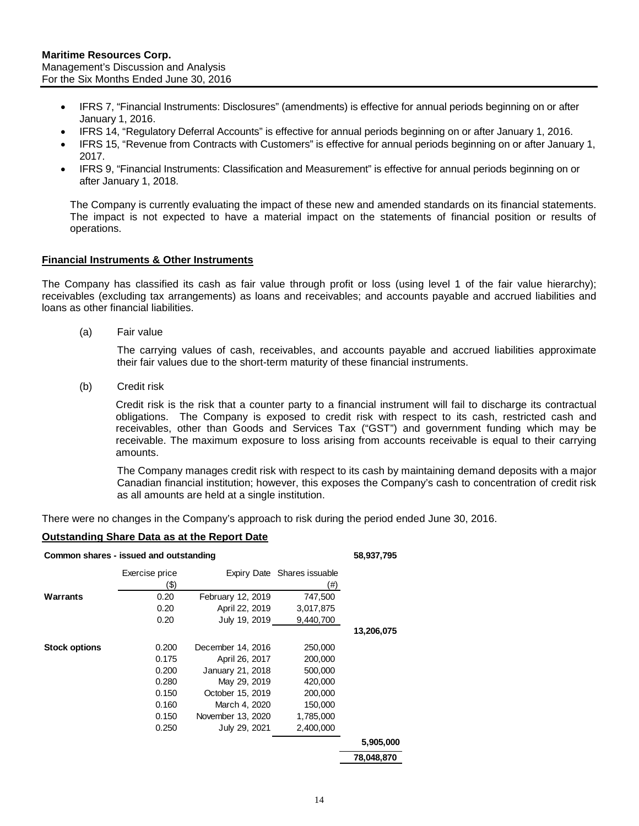- IFRS 7, "Financial Instruments: Disclosures" (amendments) is effective for annual periods beginning on or after January 1, 2016.
- IFRS 14, "Regulatory Deferral Accounts" is effective for annual periods beginning on or after January 1, 2016.
- IFRS 15, "Revenue from Contracts with Customers" is effective for annual periods beginning on or after January 1, 2017.
- IFRS 9, "Financial Instruments: Classification and Measurement" is effective for annual periods beginning on or after January 1, 2018.

The Company is currently evaluating the impact of these new and amended standards on its financial statements. The impact is not expected to have a material impact on the statements of financial position or results of operations.

#### **Financial Instruments & Other Instruments**

The Company has classified its cash as fair value through profit or loss (using level 1 of the fair value hierarchy); receivables (excluding tax arrangements) as loans and receivables; and accounts payable and accrued liabilities and loans as other financial liabilities.

(a) Fair value

The carrying values of cash, receivables, and accounts payable and accrued liabilities approximate their fair values due to the short-term maturity of these financial instruments.

(b) Credit risk

Credit risk is the risk that a counter party to a financial instrument will fail to discharge its contractual obligations. The Company is exposed to credit risk with respect to its cash, restricted cash and receivables, other than Goods and Services Tax ("GST") and government funding which may be receivable. The maximum exposure to loss arising from accounts receivable is equal to their carrying amounts.

The Company manages credit risk with respect to its cash by maintaining demand deposits with a major Canadian financial institution; however, this exposes the Company's cash to concentration of credit risk as all amounts are held at a single institution.

There were no changes in the Company's approach to risk during the period ended June 30, 2016.

#### **Outstanding Share Data as at the Report Date**

| Common shares - issued and outstanding |                        |                   |                                    | 58,937,795 |
|----------------------------------------|------------------------|-------------------|------------------------------------|------------|
|                                        | Exercise price<br>(\$) |                   | Expiry Date Shares issuable<br>(#) |            |
| Warrants                               | 0.20                   | February 12, 2019 | 747,500                            |            |
|                                        | 0.20                   | April 22, 2019    | 3,017,875                          |            |
|                                        | 0.20                   | July 19, 2019     | 9,440,700                          |            |
|                                        |                        |                   |                                    | 13,206,075 |
| <b>Stock options</b>                   | 0.200                  | December 14, 2016 | 250,000                            |            |
|                                        | 0.175                  | April 26, 2017    | 200,000                            |            |
|                                        | 0.200                  | January 21, 2018  | 500,000                            |            |
|                                        | 0.280                  | May 29, 2019      | 420,000                            |            |
|                                        | 0.150                  | October 15, 2019  | 200,000                            |            |
|                                        | 0.160                  | March 4, 2020     | 150,000                            |            |
|                                        | 0.150                  | November 13, 2020 | 1,785,000                          |            |
|                                        | 0.250                  | July 29, 2021     | 2,400,000                          |            |
|                                        |                        |                   |                                    | 5,905,000  |
|                                        |                        |                   |                                    | 78,048,870 |

14